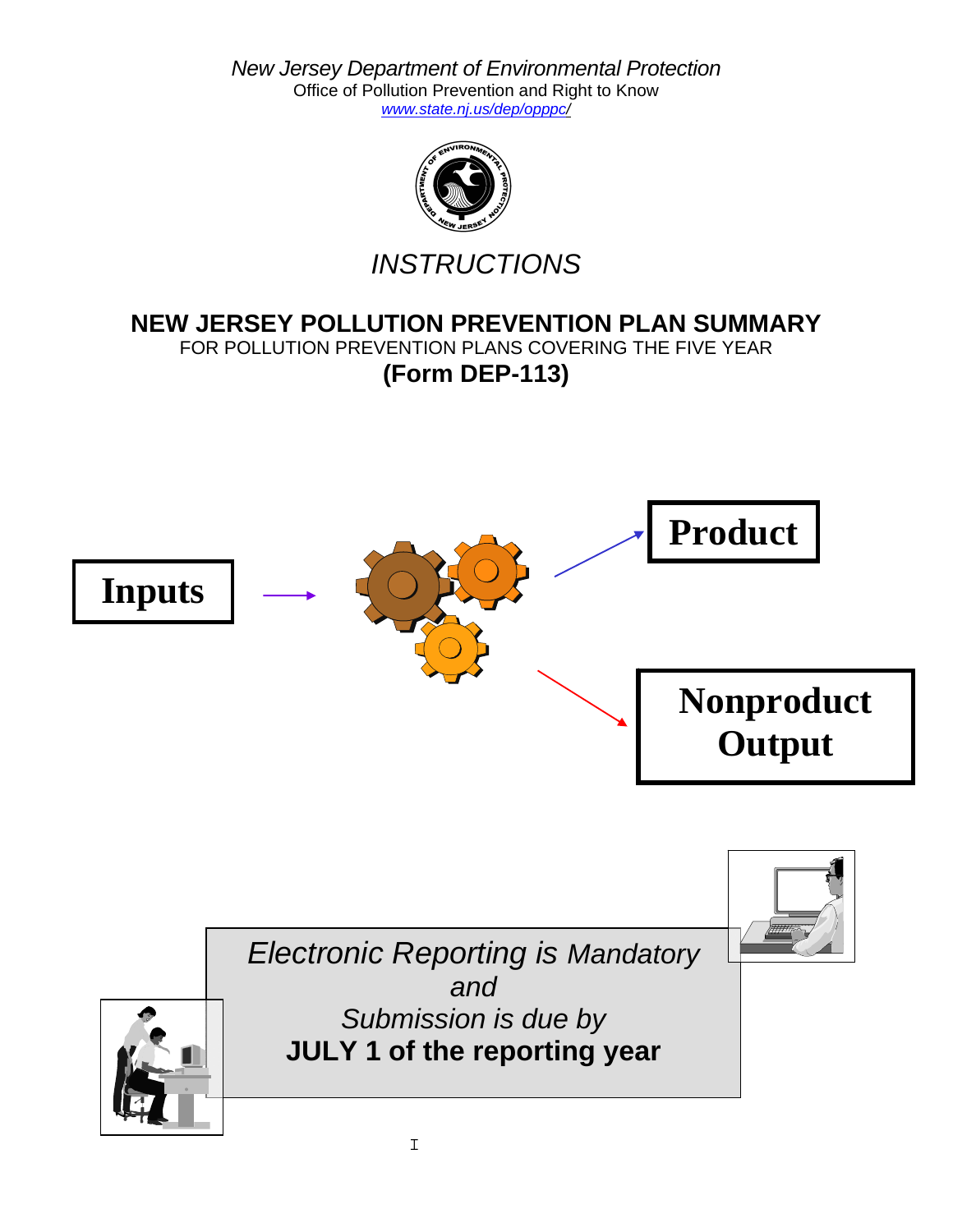*New Jersey Department of Environmental Protection*  Office of Pollution Prevention and Right to Know *www.state.nj.us/dep/opppc/*



*INSTRUCTIONS*

# **NEW JERSEY POLLUTION PREVENTION PLAN SUMMARY**

FOR POLLUTION PREVENTION PLANS COVERING THE FIVE YEAR

**(Form DEP-113)**

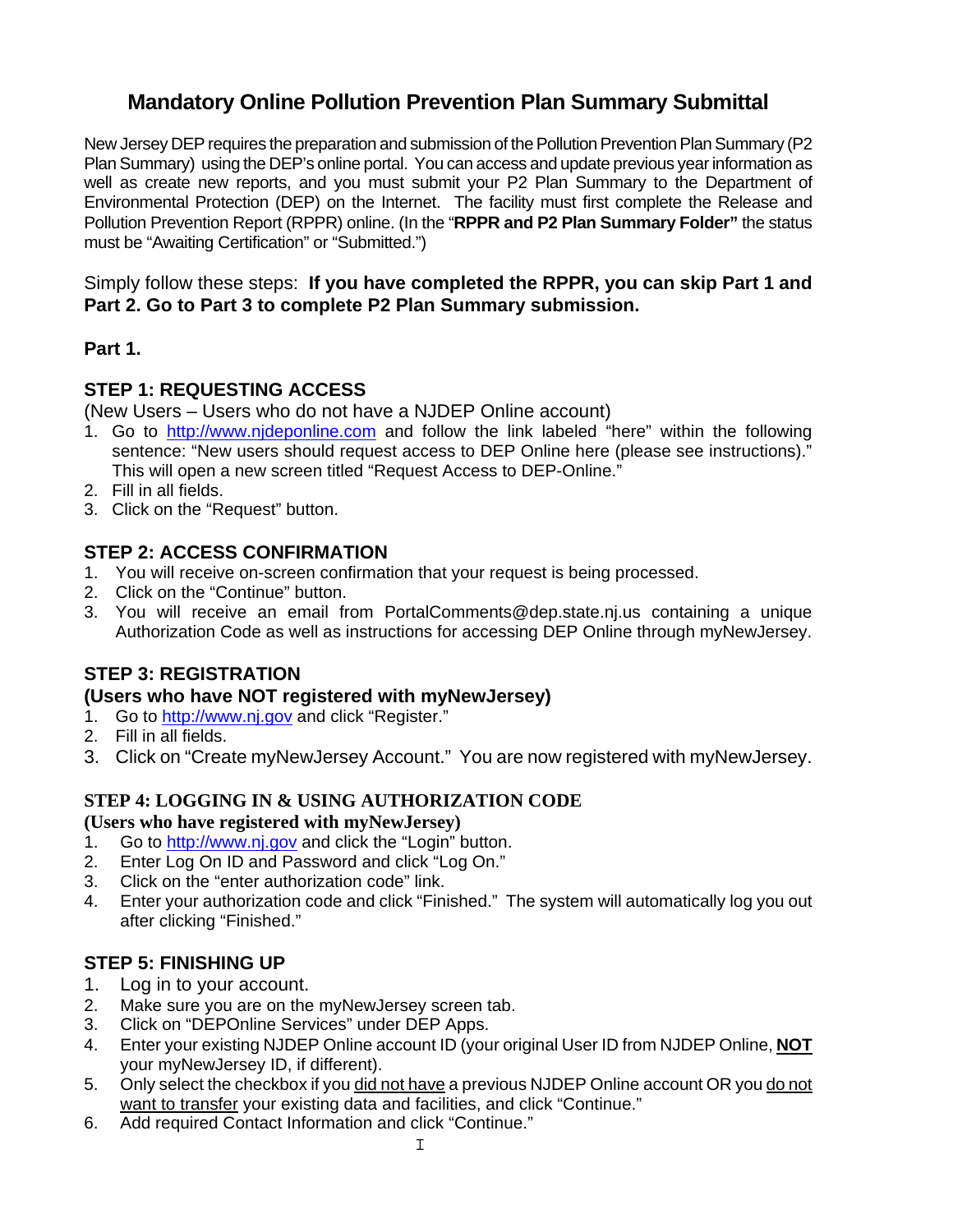# **Mandatory Online Pollution Prevention Plan Summary Submittal**

New Jersey DEP requires the preparation and submission of the Pollution Prevention Plan Summary (P2 Plan Summary) using the DEP's online portal. You can access and update previous year information as well as create new reports, and you must submit your P2 Plan Summary to the Department of Environmental Protection (DEP) on the Internet. The facility must first complete the Release and Pollution Prevention Report (RPPR) online. (In the "**RPPR and P2 Plan Summary Folder"** the status must be "Awaiting Certification" or "Submitted.")

### Simply follow these steps: **If you have completed the RPPR, you can skip Part 1 and Part 2. Go to Part 3 to complete P2 Plan Summary submission.**

## **Part 1.**

## **STEP 1: REQUESTING ACCESS**

(New Users – Users who do not have a NJDEP Online account)

- 1. Go to [http://www.njdeponline.com](http://www.njdeponline.com/) and follow the link labeled "here" within the following sentence: "New users should request access to DEP Online here (please see instructions)." This will open a new screen titled "Request Access to DEP-Online."
- 2. Fill in all fields.
- 3. Click on the "Request" button.

## **STEP 2: ACCESS CONFIRMATION**

- 1. You will receive on-screen confirmation that your request is being processed.
- 2. Click on the "Continue" button.
- 3. You will receive an email from PortalComments@dep.state.nj.us containing a unique Authorization Code as well as instructions for accessing DEP Online through myNewJersey.

# **STEP 3: REGISTRATION**

### **(Users who have NOT registered with myNewJersey)**

- 1. Go to [http://www.nj.gov](http://www.nj.gov/) and click "Register."
- 2. Fill in all fields.
- 3. Click on "Create myNewJersey Account." You are now registered with myNewJersey.

## **STEP 4: LOGGING IN & USING AUTHORIZATION CODE**

### **(Users who have registered with myNewJersey)**

- 1. Go to [http://www.nj.gov](http://www.nj.gov/) and click the "Login" button.
- 2. Enter Log On ID and Password and click "Log On."
- 3. Click on the "enter authorization code" link.
- 4. Enter your authorization code and click "Finished." The system will automatically log you out after clicking "Finished."

## **STEP 5: FINISHING UP**

- 1. Log in to your account.
- 2. Make sure you are on the myNewJersey screen tab.
- 3. Click on "DEPOnline Services" under DEP Apps.
- 4. Enter your existing NJDEP Online account ID (your original User ID from NJDEP Online, **NOT** your myNewJersey ID, if different).
- 5. Only select the checkbox if you did not have a previous NJDEP Online account OR you do not want to transfer your existing data and facilities, and click "Continue."
- 6. Add required Contact Information and click "Continue."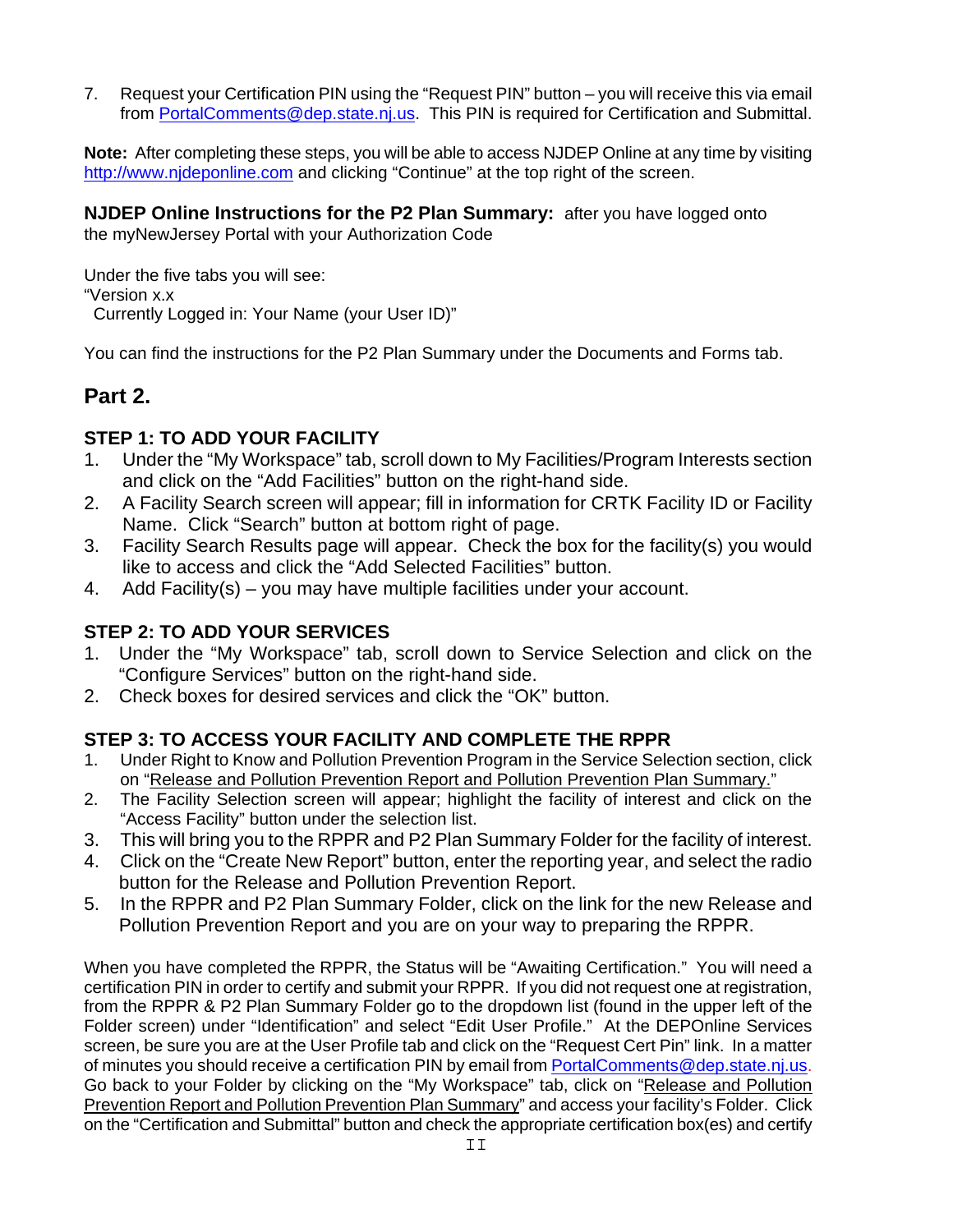7. Request your Certification PIN using the "Request PIN" button – you will receive this via email from [PortalComments@dep.state.nj.us.](mailto:PortalComments@dep.state.nj.us) This PIN is required for Certification and Submittal.

**Note:** After completing these steps, you will be able to access NJDEP Online at any time by visiting [http://www.njdeponline.com](http://www.njdeponline.com/) and clicking "Continue" at the top right of the screen.

**NJDEP Online Instructions for the P2 Plan Summary:** after you have logged onto the myNewJersey Portal with your Authorization Code

Under the five tabs you will see: "Version x.x Currently Logged in: Your Name (your User ID)"

You can find the instructions for the P2 Plan Summary under the Documents and Forms tab.

# **Part 2.**

## **STEP 1: TO ADD YOUR FACILITY**

- 1. Under the "My Workspace" tab, scroll down to My Facilities/Program Interests section and click on the "Add Facilities" button on the right-hand side.
- 2. A Facility Search screen will appear; fill in information for CRTK Facility ID or Facility Name. Click "Search" button at bottom right of page.
- 3. Facility Search Results page will appear. Check the box for the facility(s) you would like to access and click the "Add Selected Facilities" button.
- 4. Add Facility(s) you may have multiple facilities under your account.

# **STEP 2: TO ADD YOUR SERVICES**

- 1. Under the "My Workspace" tab, scroll down to Service Selection and click on the "Configure Services" button on the right-hand side.
- 2. Check boxes for desired services and click the "OK" button.

# **STEP 3: TO ACCESS YOUR FACILITY AND COMPLETE THE RPPR**

- 1. Under Right to Know and Pollution Prevention Program in the Service Selection section, click on "Release and Pollution Prevention Report and Pollution Prevention Plan Summary."
- 2. The Facility Selection screen will appear; highlight the facility of interest and click on the "Access Facility" button under the selection list.
- 3. This will bring you to the RPPR and P2 Plan Summary Folder for the facility of interest.
- 4. Click on the "Create New Report" button, enter the reporting year, and select the radio button for the Release and Pollution Prevention Report.
- 5. In the RPPR and P2 Plan Summary Folder, click on the link for the new Release and Pollution Prevention Report and you are on your way to preparing the RPPR.

When you have completed the RPPR, the Status will be "Awaiting Certification." You will need a certification PIN in order to certify and submit your RPPR. If you did not request one at registration, from the RPPR & P2 Plan Summary Folder go to the dropdown list (found in the upper left of the Folder screen) under "Identification" and select "Edit User Profile." At the DEPOnline Services screen, be sure you are at the User Profile tab and click on the "Request Cert Pin" link. In a matter of minutes you should receive a certification PIN by email from **[PortalComments@dep.state.nj.us.](mailto:PortalComments@dep.state.nj.us)** Go back to your Folder by clicking on the "My Workspace" tab, click on "Release and Pollution Prevention Report and Pollution Prevention Plan Summary" and access your facility's Folder. Click on the "Certification and Submittal" button and check the appropriate certification box(es) and certify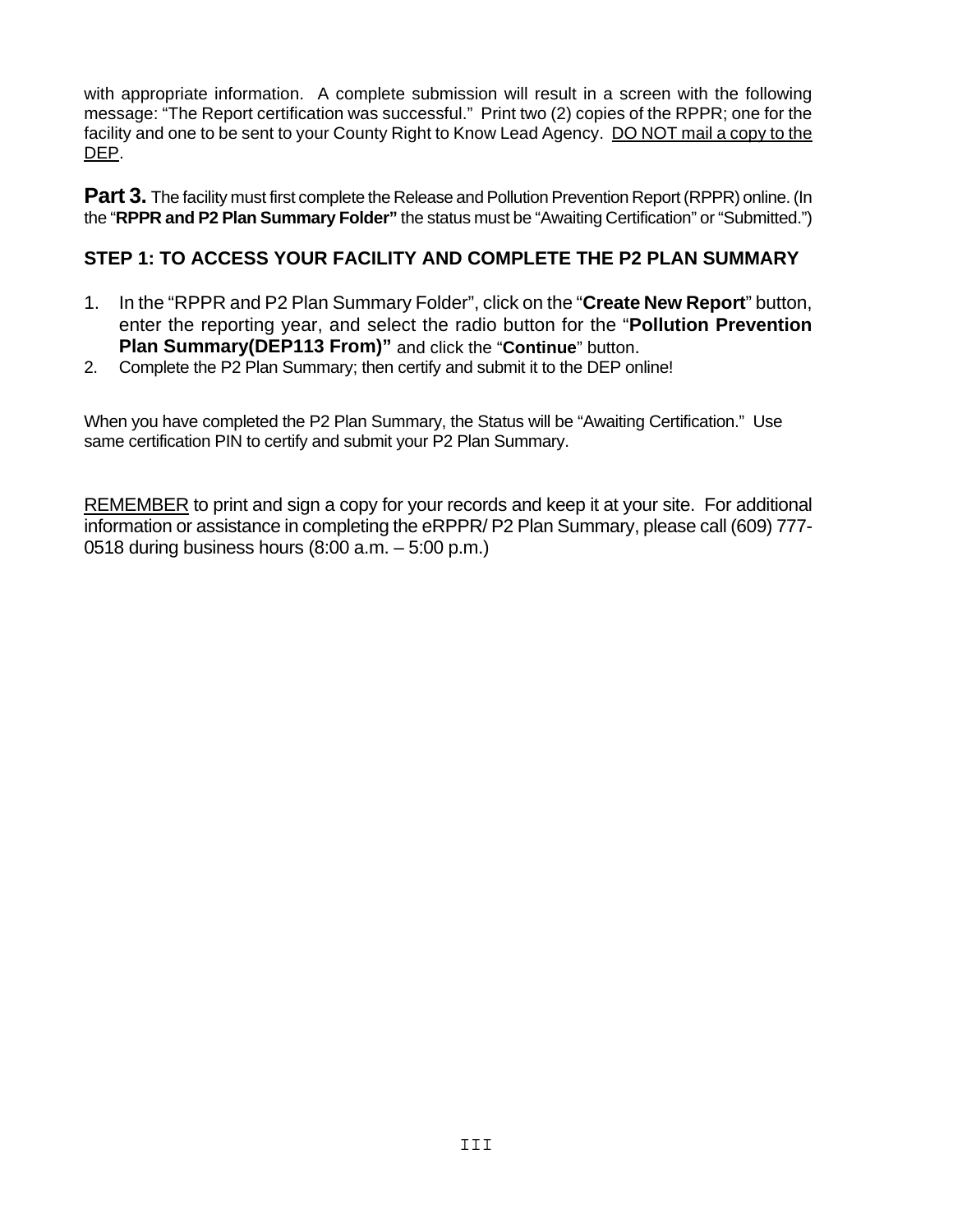with appropriate information. A complete submission will result in a screen with the following message: "The Report certification was successful." Print two (2) copies of the RPPR; one for the facility and one to be sent to your County Right to Know Lead Agency. DO NOT mail a copy to the DEP.

**Part 3.** The facility must first complete the Release and Pollution Prevention Report (RPPR) online. (In the "**RPPR and P2 Plan Summary Folder"** the status must be "Awaiting Certification" or "Submitted.")

## **STEP 1: TO ACCESS YOUR FACILITY AND COMPLETE THE P2 PLAN SUMMARY**

- 1. In the "RPPR and P2 Plan Summary Folder", click on the "**Create New Report**" button, enter the reporting year, and select the radio button for the "**Pollution Prevention Plan Summary(DEP113 From)"** and click the "**Continue**" button.
- 2. Complete the P2 Plan Summary; then certify and submit it to the DEP online!

When you have completed the P2 Plan Summary, the Status will be "Awaiting Certification." Use same certification PIN to certify and submit your P2 Plan Summary.

REMEMBER to print and sign a copy for your records and keep it at your site. For additional information or assistance in completing the eRPPR/ P2 Plan Summary, please call (609) 777- 0518 during business hours (8:00 a.m. – 5:00 p.m.)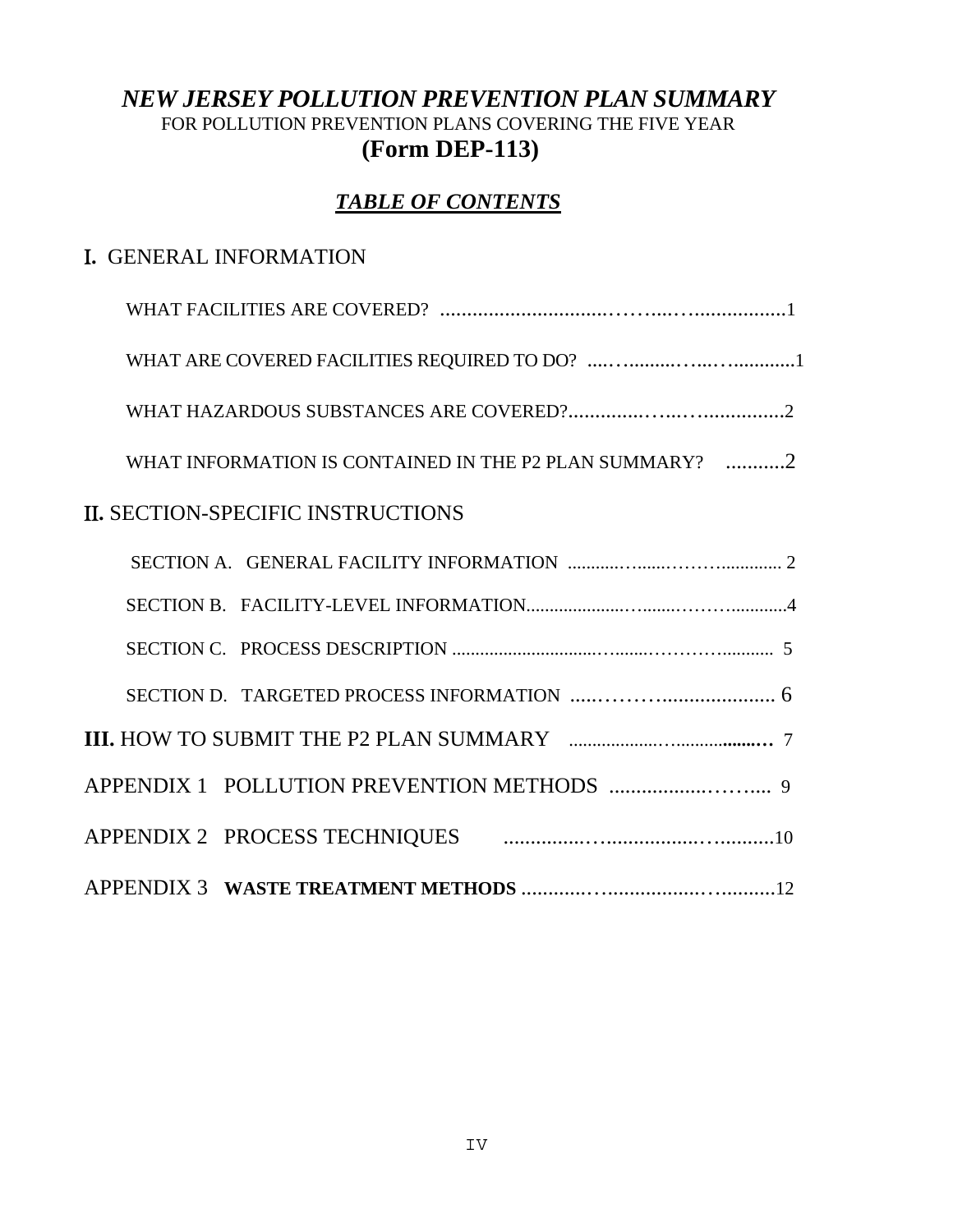# *NEW JERSEY POLLUTION PREVENTION PLAN SUMMARY* FOR POLLUTION PREVENTION PLANS COVERING THE FIVE YEAR **(Form DEP-113)**

# *TABLE OF CONTENTS*

# Ι**.** GENERAL INFORMATION

| WHAT INFORMATION IS CONTAINED IN THE P2 PLAN SUMMARY? 2 |
|---------------------------------------------------------|
| <b>II. SECTION-SPECIFIC INSTRUCTIONS</b>                |
|                                                         |
|                                                         |
|                                                         |
|                                                         |
|                                                         |
|                                                         |
|                                                         |
|                                                         |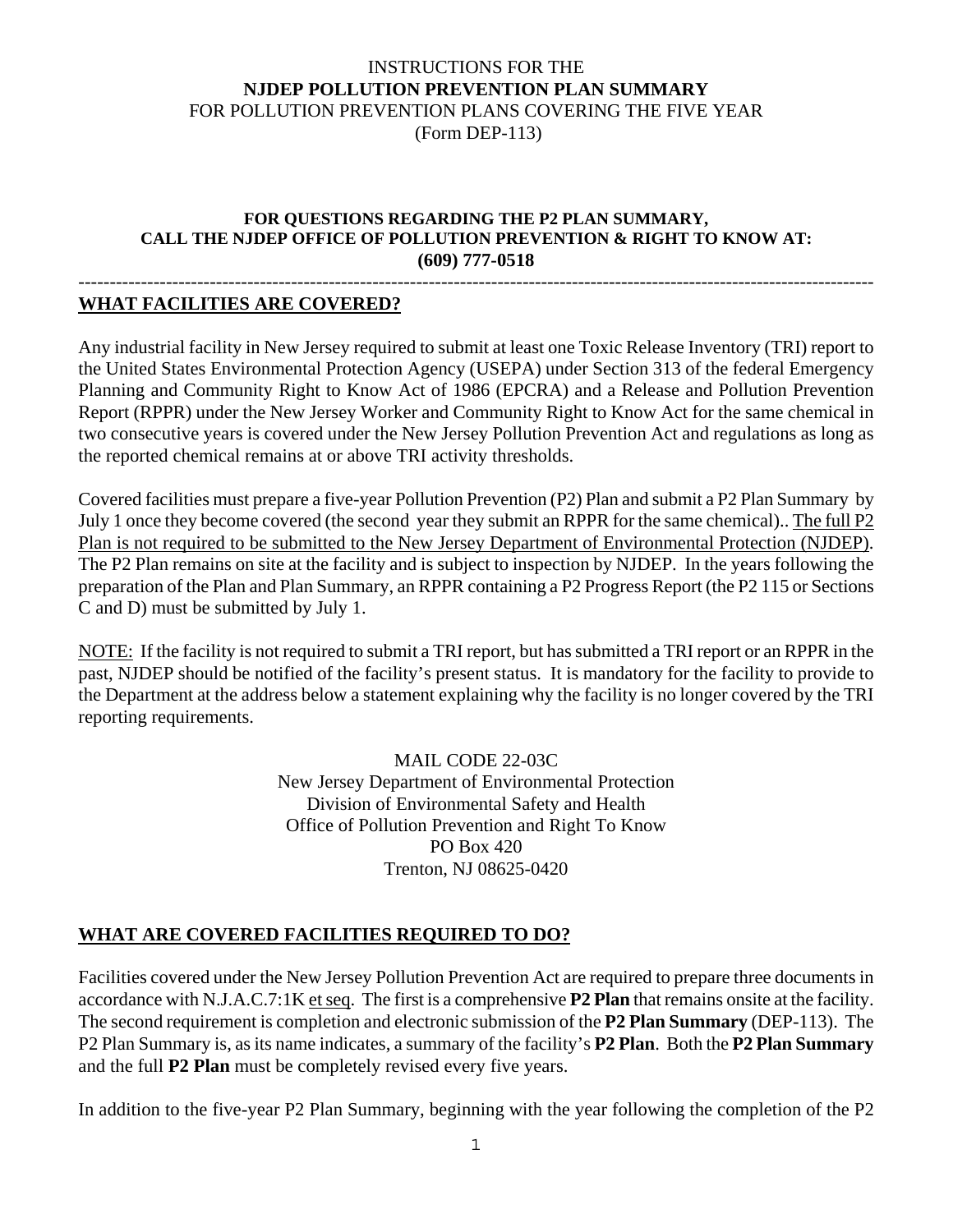### INSTRUCTIONS FOR THE **NJDEP POLLUTION PREVENTION PLAN SUMMARY** FOR POLLUTION PREVENTION PLANS COVERING THE FIVE YEAR (Form DEP-113)

#### **FOR QUESTIONS REGARDING THE P2 PLAN SUMMARY, CALL THE NJDEP OFFICE OF POLLUTION PREVENTION & RIGHT TO KNOW AT: (609) 777-0518**

#### -------------------------------------------------------------------------------------------------------------------------------- **WHAT FACILITIES ARE COVERED?**

Any industrial facility in New Jersey required to submit at least one Toxic Release Inventory (TRI) report to the United States Environmental Protection Agency (USEPA) under Section 313 of the federal Emergency Planning and Community Right to Know Act of 1986 (EPCRA) and a Release and Pollution Prevention Report (RPPR) under the New Jersey Worker and Community Right to Know Act for the same chemical in two consecutive years is covered under the New Jersey Pollution Prevention Act and regulations as long as the reported chemical remains at or above TRI activity thresholds.

Covered facilities must prepare a five-year Pollution Prevention (P2) Plan and submit a P2 Plan Summary by July 1 once they become covered (the second year they submit an RPPR for the same chemical).. The full P2 Plan is not required to be submitted to the New Jersey Department of Environmental Protection (NJDEP). The P2 Plan remains on site at the facility and is subject to inspection by NJDEP. In the years following the preparation of the Plan and Plan Summary, an RPPR containing a P2 Progress Report (the P2 115 or Sections C and D) must be submitted by July 1.

NOTE: If the facility is not required to submit a TRI report, but has submitted a TRI report or an RPPR in the past, NJDEP should be notified of the facility's present status. It is mandatory for the facility to provide to the Department at the address below a statement explaining why the facility is no longer covered by the TRI reporting requirements.

> MAIL CODE 22-03C New Jersey Department of Environmental Protection Division of Environmental Safety and Health Office of Pollution Prevention and Right To Know PO Box 420 Trenton, NJ 08625-0420

### **WHAT ARE COVERED FACILITIES REQUIRED TO DO?**

Facilities covered under the New Jersey Pollution Prevention Act are required to prepare three documents in accordance with N.J.A.C.7:1K et seq. The first is a comprehensive **P2 Plan** that remains onsite at the facility. The second requirement is completion and electronic submission of the **P2 Plan Summary** (DEP-113). The P2 Plan Summary is, as its name indicates, a summary of the facility's **P2 Plan**. Both the **P2 Plan Summary** and the full **P2 Plan** must be completely revised every five years.

In addition to the five-year P2 Plan Summary, beginning with the year following the completion of the P2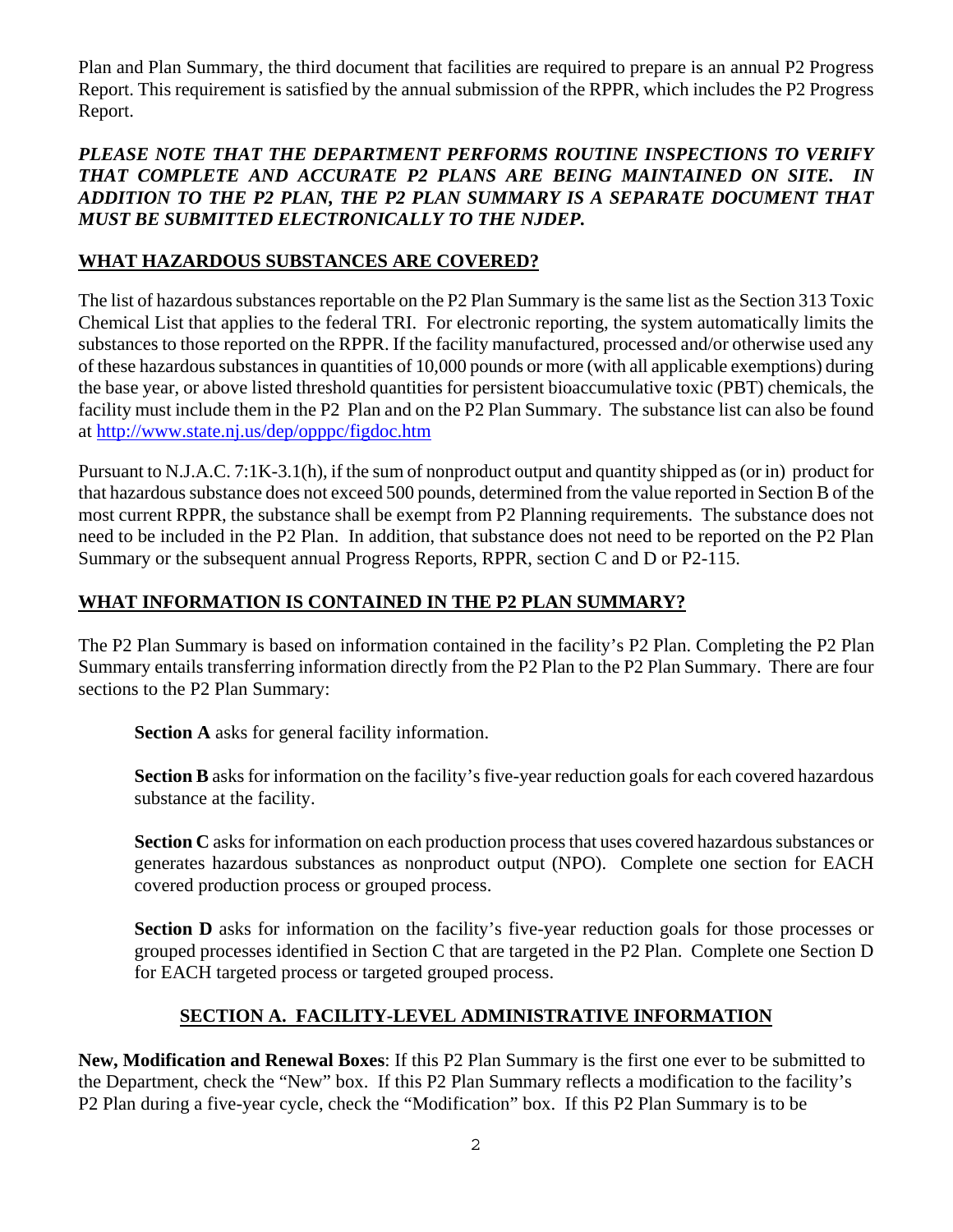Plan and Plan Summary, the third document that facilities are required to prepare is an annual P2 Progress Report. This requirement is satisfied by the annual submission of the RPPR, which includes the P2 Progress Report.

### *PLEASE NOTE THAT THE DEPARTMENT PERFORMS ROUTINE INSPECTIONS TO VERIFY THAT COMPLETE AND ACCURATE P2 PLANS ARE BEING MAINTAINED ON SITE. IN ADDITION TO THE P2 PLAN, THE P2 PLAN SUMMARY IS A SEPARATE DOCUMENT THAT MUST BE SUBMITTED ELECTRONICALLY TO THE NJDEP.*

## **WHAT HAZARDOUS SUBSTANCES ARE COVERED?**

The list of hazardous substances reportable on the P2 Plan Summary is the same list as the Section 313 Toxic Chemical List that applies to the federal TRI. For electronic reporting, the system automatically limits the substances to those reported on the RPPR. If the facility manufactured, processed and/or otherwise used any of these hazardous substances in quantities of 10,000 pounds or more (with all applicable exemptions) during the base year, or above listed threshold quantities for persistent bioaccumulative toxic (PBT) chemicals, the facility must include them in the P2 Plan and on the P2 Plan Summary. The substance list can also be found at<http://www.state.nj.us/dep/opppc/figdoc.htm>

Pursuant to N.J.A.C. 7:1K-3.1(h), if the sum of nonproduct output and quantity shipped as (or in) product for that hazardous substance does not exceed 500 pounds, determined from the value reported in Section B of the most current RPPR, the substance shall be exempt from P2 Planning requirements. The substance does not need to be included in the P2 Plan. In addition, that substance does not need to be reported on the P2 Plan Summary or the subsequent annual Progress Reports, RPPR, section C and D or P2-115.

## **WHAT INFORMATION IS CONTAINED IN THE P2 PLAN SUMMARY?**

The P2 Plan Summary is based on information contained in the facility's P2 Plan. Completing the P2 Plan Summary entails transferring information directly from the P2 Plan to the P2 Plan Summary. There are four sections to the P2 Plan Summary:

**Section A** asks for general facility information.

**Section B** asks for information on the facility's five-year reduction goals for each covered hazardous substance at the facility.

**Section C** asks for information on each production process that uses covered hazardous substances or generates hazardous substances as nonproduct output (NPO). Complete one section for EACH covered production process or grouped process.

**Section D** asks for information on the facility's five-year reduction goals for those processes or grouped processes identified in Section C that are targeted in the P2 Plan. Complete one Section D for EACH targeted process or targeted grouped process.

# **SECTION A. FACILITY-LEVEL ADMINISTRATIVE INFORMATION**

**New, Modification and Renewal Boxes**: If this P2 Plan Summary is the first one ever to be submitted to the Department, check the "New" box. If this P2 Plan Summary reflects a modification to the facility's P2 Plan during a five-year cycle, check the "Modification" box. If this P2 Plan Summary is to be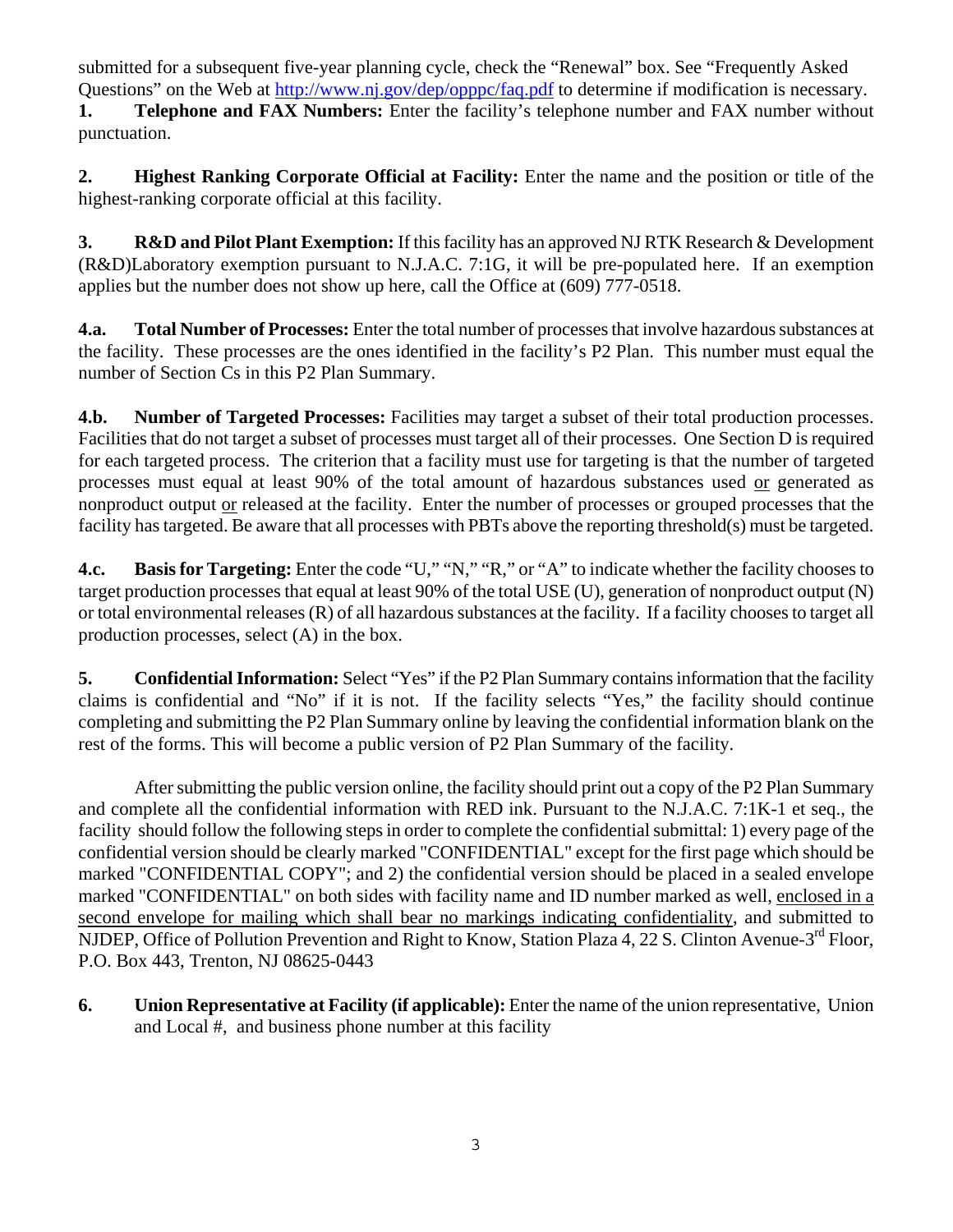submitted for a subsequent five-year planning cycle, check the "Renewal" box. See "Frequently Asked Questions" on the Web at <http://www.nj.gov/dep/opppc/faq.pdf>to determine if modification is necessary. **1. Telephone and FAX Numbers:** Enter the facility's telephone number and FAX number without punctuation.

**2. Highest Ranking Corporate Official at Facility:** Enter the name and the position or title of the highest-ranking corporate official at this facility.

**3. R&D and Pilot Plant Exemption:** If this facility has an approved NJ RTK Research & Development (R&D)Laboratory exemption pursuant to N.J.A.C. 7:1G, it will be pre-populated here. If an exemption applies but the number does not show up here, call the Office at (609) 777-0518.

**4.a. Total Number of Processes:** Enter the total number of processes that involve hazardous substances at the facility. These processes are the ones identified in the facility's P2 Plan. This number must equal the number of Section Cs in this P2 Plan Summary.

**4.b. Number of Targeted Processes:** Facilities may target a subset of their total production processes. Facilities that do not target a subset of processes must target all of their processes. One Section D is required for each targeted process. The criterion that a facility must use for targeting is that the number of targeted processes must equal at least 90% of the total amount of hazardous substances used or generated as nonproduct output or released at the facility. Enter the number of processes or grouped processes that the facility has targeted. Be aware that all processes with PBTs above the reporting threshold(s) must be targeted.

**4.c. Basis for Targeting:** Enter the code "U," "N," "R," or "A" to indicate whether the facility chooses to target production processes that equal at least 90% of the total USE (U), generation of nonproduct output (N) or total environmental releases (R) of all hazardous substances at the facility. If a facility chooses to target all production processes, select (A) in the box.

**5. Confidential Information:** Select "Yes" if the P2 Plan Summary contains information that the facility claims is confidential and "No" if it is not. If the facility selects "Yes," the facility should continue completing and submitting the P2 Plan Summary online by leaving the confidential information blank on the rest of the forms. This will become a public version of P2 Plan Summary of the facility.

 After submitting the public version online, the facility should print out a copy of the P2 Plan Summary and complete all the confidential information with RED ink. Pursuant to the N.J.A.C. 7:1K-1 et seq., the facility should follow the following steps in order to complete the confidential submittal: 1) every page of the confidential version should be clearly marked "CONFIDENTIAL" except for the first page which should be marked "CONFIDENTIAL COPY"; and 2) the confidential version should be placed in a sealed envelope marked "CONFIDENTIAL" on both sides with facility name and ID number marked as well, enclosed in a second envelope for mailing which shall bear no markings indicating confidentiality, and submitted to NJDEP, Office of Pollution Prevention and Right to Know, Station Plaza 4, 22 S. Clinton Avenue-3rd Floor, P.O. Box 443, Trenton, NJ 08625-0443

**6. Union Representative at Facility (if applicable):** Enter the name of the union representative, Union and Local #, and business phone number at this facility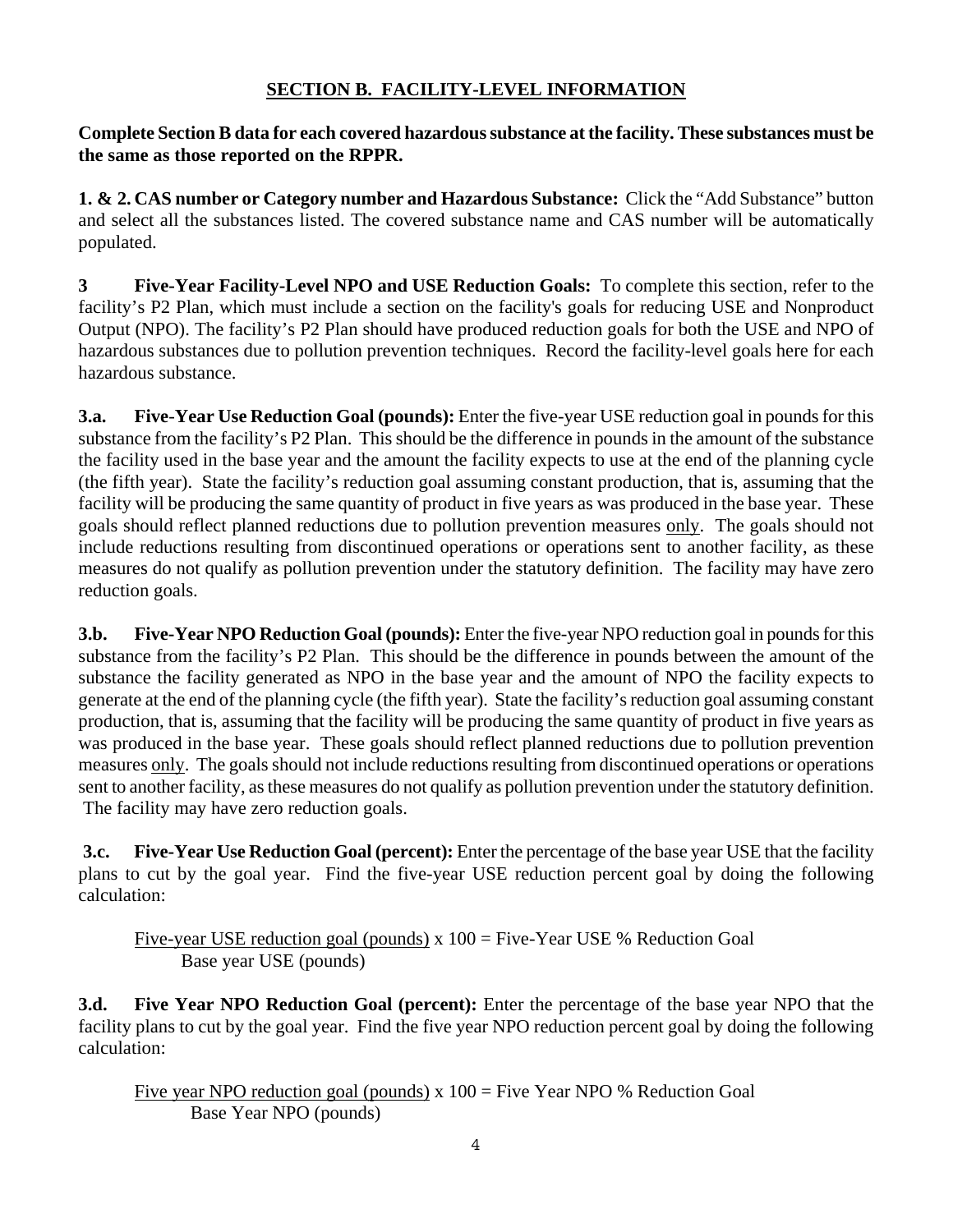## **SECTION B. FACILITY-LEVEL INFORMATION**

**Complete Section B data for each covered hazardous substance at the facility. These substances must be the same as those reported on the RPPR.** 

**1. & 2. CAS number or Category number and Hazardous Substance:** Click the "Add Substance" button and select all the substances listed. The covered substance name and CAS number will be automatically populated.

**3 Five-Year Facility-Level NPO and USE Reduction Goals:** To complete this section, refer to the facility's P2 Plan, which must include a section on the facility's goals for reducing USE and Nonproduct Output (NPO). The facility's P2 Plan should have produced reduction goals for both the USE and NPO of hazardous substances due to pollution prevention techniques. Record the facility-level goals here for each hazardous substance.

**3.a. Five**-**Year Use Reduction Goal (pounds):** Enter the five-year USE reduction goal in pounds for this substance from the facility's P2 Plan. This should be the difference in pounds in the amount of the substance the facility used in the base year and the amount the facility expects to use at the end of the planning cycle (the fifth year). State the facility's reduction goal assuming constant production, that is, assuming that the facility will be producing the same quantity of product in five years as was produced in the base year. These goals should reflect planned reductions due to pollution prevention measures only. The goals should not include reductions resulting from discontinued operations or operations sent to another facility, as these measures do not qualify as pollution prevention under the statutory definition. The facility may have zero reduction goals.

**3.b. Five-Year NPO Reduction Goal (pounds):** Enter the five-year NPO reduction goal in pounds for this substance from the facility's P2 Plan. This should be the difference in pounds between the amount of the substance the facility generated as NPO in the base year and the amount of NPO the facility expects to generate at the end of the planning cycle (the fifth year). State the facility's reduction goal assuming constant production, that is, assuming that the facility will be producing the same quantity of product in five years as was produced in the base year. These goals should reflect planned reductions due to pollution prevention measures only. The goals should not include reductions resulting from discontinued operations or operations sent to another facility, as these measures do not qualify as pollution prevention under the statutory definition. The facility may have zero reduction goals.

**3.c. Five-Year Use Reduction Goal (percent):** Enter the percentage of the base year USE that the facility plans to cut by the goal year. Find the five-year USE reduction percent goal by doing the following calculation:

Five-year USE reduction goal (pounds) x 100 = Five-Year USE % Reduction Goal Base year USE (pounds)

**3.d. Five Year NPO Reduction Goal (percent):** Enter the percentage of the base year NPO that the facility plans to cut by the goal year. Find the five year NPO reduction percent goal by doing the following calculation:

Five year NPO reduction goal (pounds)  $x = 100$  = Five Year NPO % Reduction Goal Base Year NPO (pounds)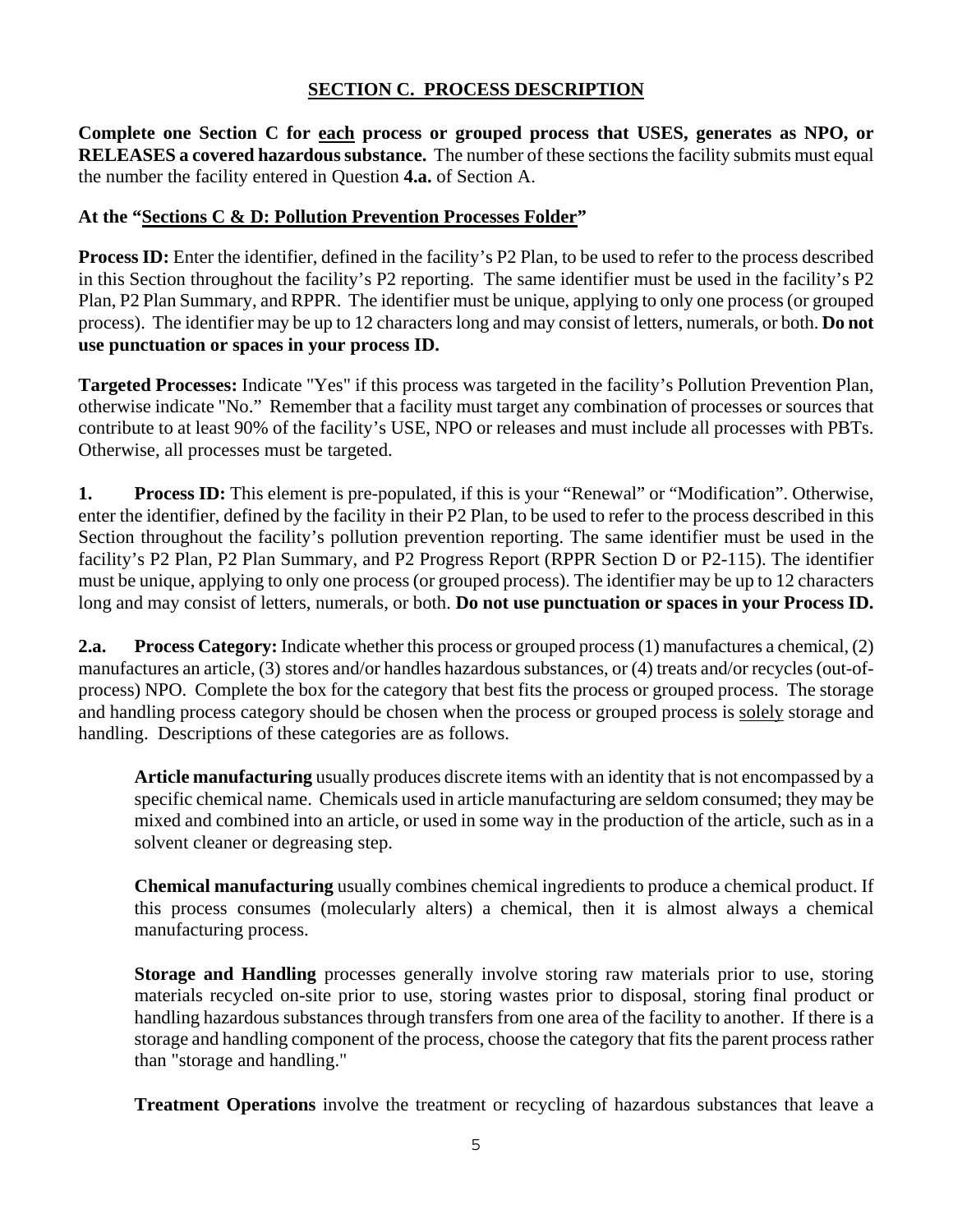### **SECTION C. PROCESS DESCRIPTION**

**Complete one Section C for each process or grouped process that USES, generates as NPO, or RELEASES a covered hazardous substance.** The number of these sections the facility submits must equal the number the facility entered in Question **4.a.** of Section A.

### **At the "Sections C & D: Pollution Prevention Processes Folder"**

**Process ID:** Enter the identifier, defined in the facility's P2 Plan, to be used to refer to the process described in this Section throughout the facility's P2 reporting. The same identifier must be used in the facility's P2 Plan, P2 Plan Summary, and RPPR. The identifier must be unique, applying to only one process (or grouped process). The identifier may be up to 12 characters long and may consist of letters, numerals, or both. **Do not use punctuation or spaces in your process ID.** 

**Targeted Processes:** Indicate "Yes" if this process was targeted in the facility's Pollution Prevention Plan, otherwise indicate "No." Remember that a facility must target any combination of processes or sources that contribute to at least 90% of the facility's USE, NPO or releases and must include all processes with PBTs. Otherwise, all processes must be targeted.

**1. Process ID:** This element is pre-populated, if this is your "Renewal" or "Modification". Otherwise, enter the identifier, defined by the facility in their P2 Plan, to be used to refer to the process described in this Section throughout the facility's pollution prevention reporting. The same identifier must be used in the facility's P2 Plan, P2 Plan Summary, and P2 Progress Report (RPPR Section D or P2-115). The identifier must be unique, applying to only one process (or grouped process). The identifier may be up to 12 characters long and may consist of letters, numerals, or both. **Do not use punctuation or spaces in your Process ID.** 

**2.a. Process Category:** Indicate whether this process or grouped process (1) manufactures a chemical, (2) manufactures an article, (3) stores and/or handles hazardous substances, or (4) treats and/or recycles (out-ofprocess) NPO. Complete the box for the category that best fits the process or grouped process. The storage and handling process category should be chosen when the process or grouped process is solely storage and handling. Descriptions of these categories are as follows.

**Article manufacturing** usually produces discrete items with an identity that is not encompassed by a specific chemical name. Chemicals used in article manufacturing are seldom consumed; they may be mixed and combined into an article, or used in some way in the production of the article, such as in a solvent cleaner or degreasing step.

**Chemical manufacturing** usually combines chemical ingredients to produce a chemical product. If this process consumes (molecularly alters) a chemical, then it is almost always a chemical manufacturing process.

**Storage and Handling** processes generally involve storing raw materials prior to use, storing materials recycled on-site prior to use, storing wastes prior to disposal, storing final product or handling hazardous substances through transfers from one area of the facility to another. If there is a storage and handling component of the process, choose the category that fits the parent process rather than "storage and handling."

**Treatment Operations** involve the treatment or recycling of hazardous substances that leave a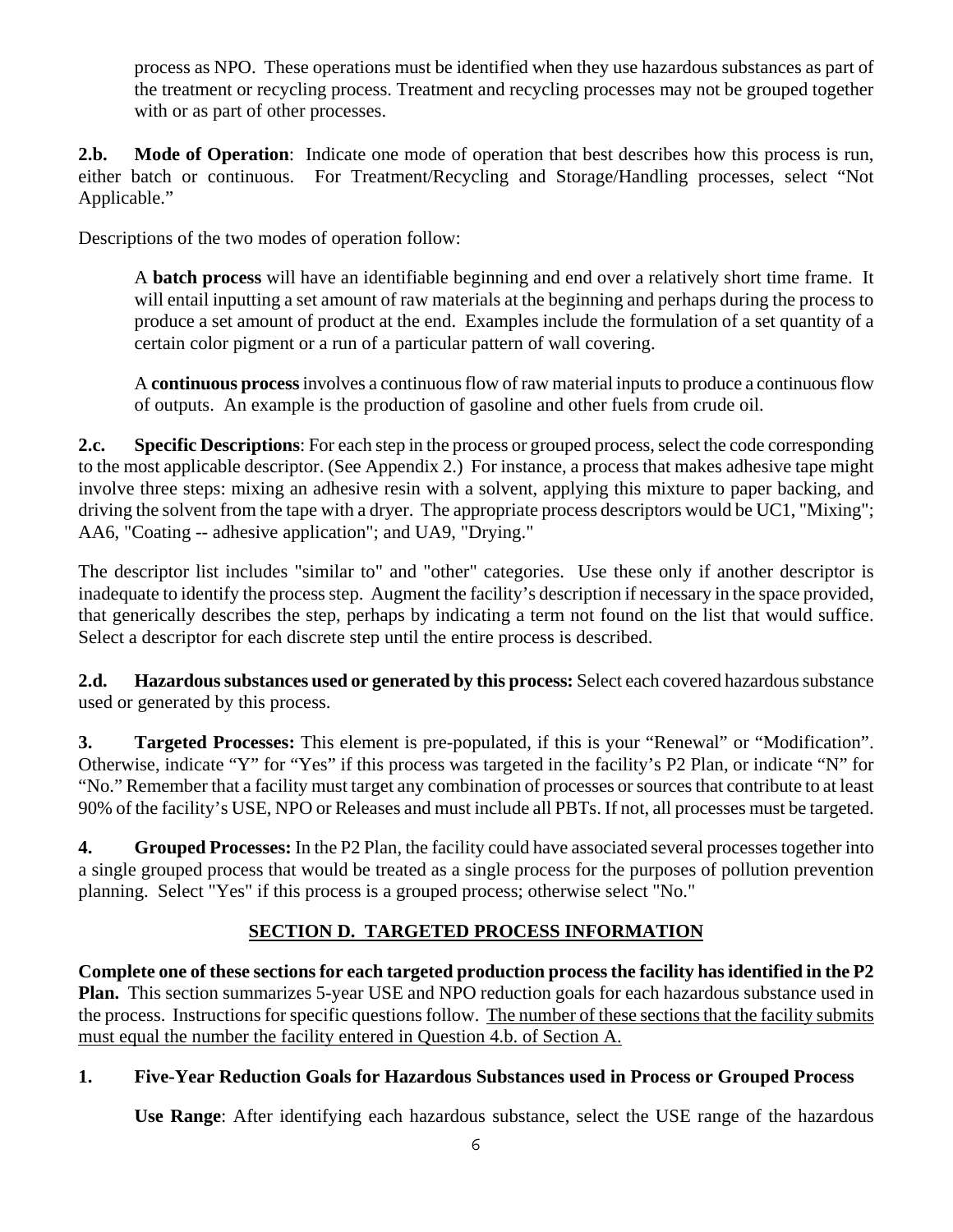process as NPO. These operations must be identified when they use hazardous substances as part of the treatment or recycling process. Treatment and recycling processes may not be grouped together with or as part of other processes.

**2.b. Mode of Operation**: Indicate one mode of operation that best describes how this process is run, either batch or continuous. For Treatment/Recycling and Storage/Handling processes, select "Not Applicable."

Descriptions of the two modes of operation follow:

A **batch process** will have an identifiable beginning and end over a relatively short time frame. It will entail inputting a set amount of raw materials at the beginning and perhaps during the process to produce a set amount of product at the end. Examples include the formulation of a set quantity of a certain color pigment or a run of a particular pattern of wall covering.

A **continuous process** involves a continuous flow of raw material inputs to produce a continuous flow of outputs. An example is the production of gasoline and other fuels from crude oil.

**2.c. Specific Descriptions**: For each step in the process or grouped process, select the code corresponding to the most applicable descriptor. (See Appendix 2.) For instance, a process that makes adhesive tape might involve three steps: mixing an adhesive resin with a solvent, applying this mixture to paper backing, and driving the solvent from the tape with a dryer. The appropriate process descriptors would be UC1, "Mixing"; AA6, "Coating -- adhesive application"; and UA9, "Drying."

The descriptor list includes "similar to" and "other" categories. Use these only if another descriptor is inadequate to identify the process step. Augment the facility's description if necessary in the space provided, that generically describes the step, perhaps by indicating a term not found on the list that would suffice. Select a descriptor for each discrete step until the entire process is described.

**2.d. Hazardous substances used or generated by this process:** Select each covered hazardous substance used or generated by this process.

**3. Targeted Processes:** This element is pre-populated, if this is your "Renewal" or "Modification". Otherwise, indicate "Y" for "Yes" if this process was targeted in the facility's P2 Plan, or indicate "N" for "No." Remember that a facility must target any combination of processes or sources that contribute to at least 90% of the facility's USE, NPO or Releases and must include all PBTs. If not, all processes must be targeted.

**4. Grouped Processes:** In the P2 Plan, the facility could have associated several processes together into a single grouped process that would be treated as a single process for the purposes of pollution prevention planning. Select "Yes" if this process is a grouped process; otherwise select "No."

# **SECTION D. TARGETED PROCESS INFORMATION**

**Complete one of these sections for each targeted production process the facility has identified in the P2 Plan.** This section summarizes 5-year USE and NPO reduction goals for each hazardous substance used in the process. Instructions for specific questions follow. The number of these sections that the facility submits must equal the number the facility entered in Question 4.b. of Section A.

## **1. Five-Year Reduction Goals for Hazardous Substances used in Process or Grouped Process**

 **Use Range**: After identifying each hazardous substance, select the USE range of the hazardous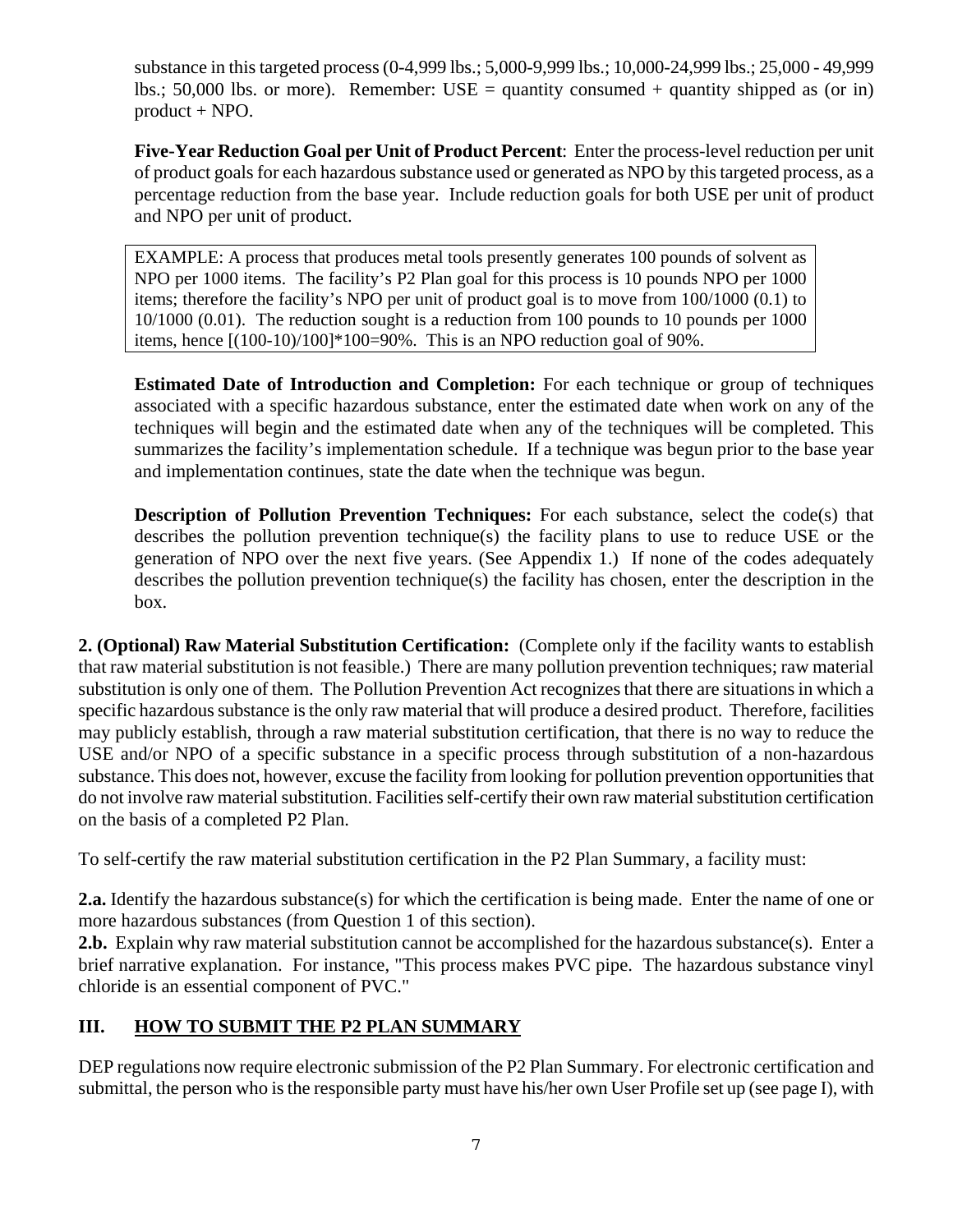substance in this targeted process (0-4,999 lbs.; 5,000-9,999 lbs.; 10,000-24,999 lbs.; 25,000 - 49,999 lbs.; 50,000 lbs. or more). Remember:  $USE =$  quantity consumed + quantity shipped as (or in) product + NPO.

 **Five-Year Reduction Goal per Unit of Product Percent**: Enter the process-level reduction per unit of product goals for each hazardous substance used or generated as NPO by this targeted process, as a percentage reduction from the base year. Include reduction goals for both USE per unit of product and NPO per unit of product.

EXAMPLE: A process that produces metal tools presently generates 100 pounds of solvent as NPO per 1000 items. The facility's P2 Plan goal for this process is 10 pounds NPO per 1000 items; therefore the facility's NPO per unit of product goal is to move from 100/1000 (0.1) to 10/1000 (0.01). The reduction sought is a reduction from 100 pounds to 10 pounds per 1000 items, hence [(100-10)/100]\*100=90%. This is an NPO reduction goal of 90%.

 **Estimated Date of Introduction and Completion:** For each technique or group of techniques associated with a specific hazardous substance, enter the estimated date when work on any of the techniques will begin and the estimated date when any of the techniques will be completed. This summarizes the facility's implementation schedule. If a technique was begun prior to the base year and implementation continues, state the date when the technique was begun.

**Description of Pollution Prevention Techniques:** For each substance, select the code(s) that describes the pollution prevention technique(s) the facility plans to use to reduce USE or the generation of NPO over the next five years. (See Appendix 1.) If none of the codes adequately describes the pollution prevention technique(s) the facility has chosen, enter the description in the box.

**2. (Optional) Raw Material Substitution Certification:** (Complete only if the facility wants to establish that raw material substitution is not feasible.) There are many pollution prevention techniques; raw material substitution is only one of them. The Pollution Prevention Act recognizes that there are situations in which a specific hazardous substance is the only raw material that will produce a desired product. Therefore, facilities may publicly establish, through a raw material substitution certification, that there is no way to reduce the USE and/or NPO of a specific substance in a specific process through substitution of a non-hazardous substance. This does not, however, excuse the facility from looking for pollution prevention opportunities that do not involve raw material substitution. Facilities self-certify their own raw material substitution certification on the basis of a completed P2 Plan.

To self-certify the raw material substitution certification in the P2 Plan Summary, a facility must:

**2.a.** Identify the hazardous substance(s) for which the certification is being made. Enter the name of one or more hazardous substances (from Question 1 of this section).

**2.b.** Explain why raw material substitution cannot be accomplished for the hazardous substance(s). Enter a brief narrative explanation. For instance, "This process makes PVC pipe. The hazardous substance vinyl chloride is an essential component of PVC."

## **III. HOW TO SUBMIT THE P2 PLAN SUMMARY**

DEP regulations now require electronic submission of the P2 Plan Summary. For electronic certification and submittal, the person who is the responsible party must have his/her own User Profile set up (see page I), with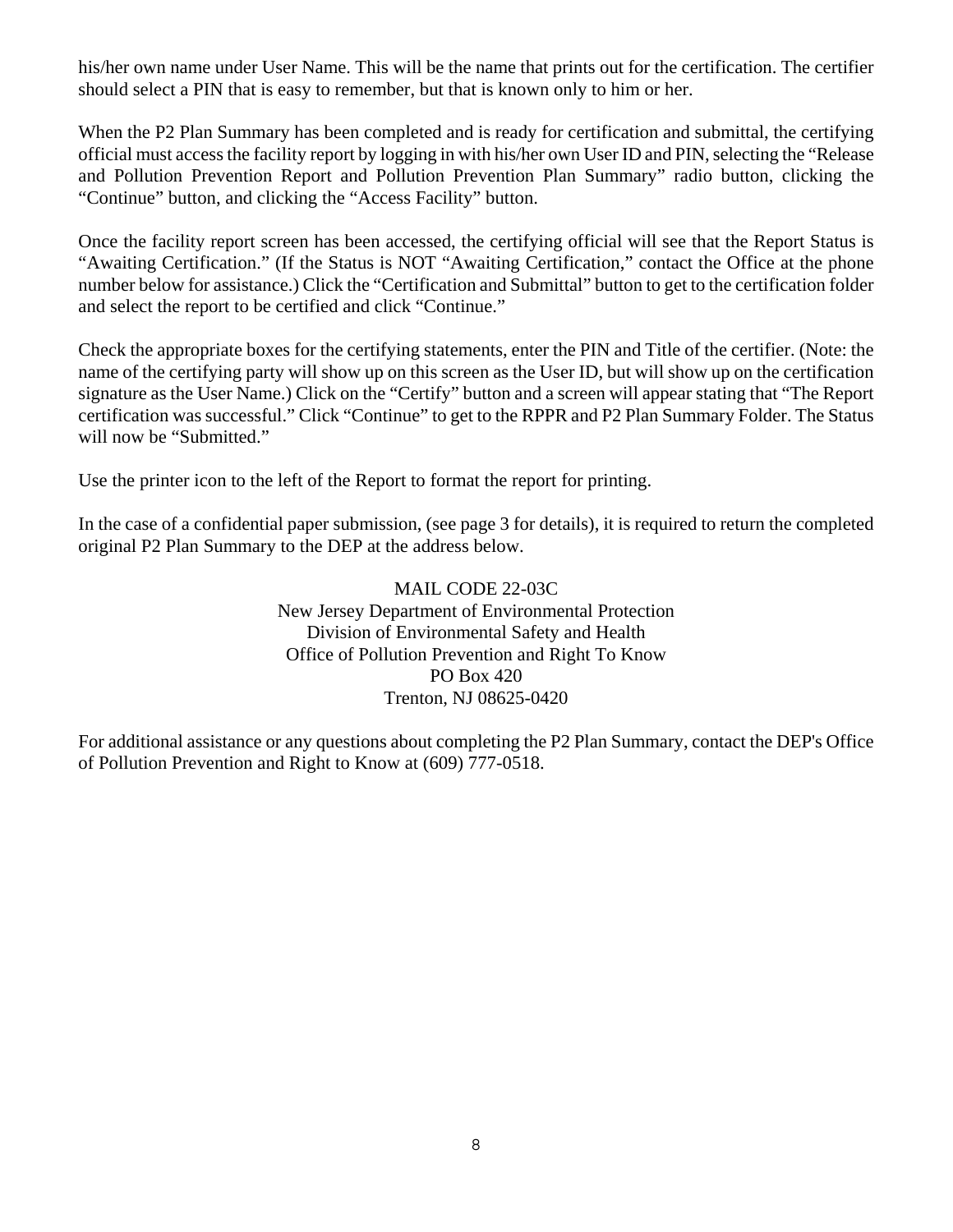his/her own name under User Name. This will be the name that prints out for the certification. The certifier should select a PIN that is easy to remember, but that is known only to him or her.

When the P2 Plan Summary has been completed and is ready for certification and submittal, the certifying official must access the facility report by logging in with his/her own User ID and PIN, selecting the "Release and Pollution Prevention Report and Pollution Prevention Plan Summary" radio button, clicking the "Continue" button, and clicking the "Access Facility" button.

Once the facility report screen has been accessed, the certifying official will see that the Report Status is "Awaiting Certification." (If the Status is NOT "Awaiting Certification," contact the Office at the phone number below for assistance.) Click the "Certification and Submittal" button to get to the certification folder and select the report to be certified and click "Continue."

Check the appropriate boxes for the certifying statements, enter the PIN and Title of the certifier. (Note: the name of the certifying party will show up on this screen as the User ID, but will show up on the certification signature as the User Name.) Click on the "Certify" button and a screen will appear stating that "The Report certification was successful." Click "Continue" to get to the RPPR and P2 Plan Summary Folder. The Status will now be "Submitted."

Use the printer icon to the left of the Report to format the report for printing.

In the case of a confidential paper submission, (see page 3 for details), it is required to return the completed original P2 Plan Summary to the DEP at the address below.

> MAIL CODE 22-03C New Jersey Department of Environmental Protection Division of Environmental Safety and Health Office of Pollution Prevention and Right To Know PO Box 420 Trenton, NJ 08625-0420

For additional assistance or any questions about completing the P2 Plan Summary, contact the DEP's Office of Pollution Prevention and Right to Know at (609) 777-0518.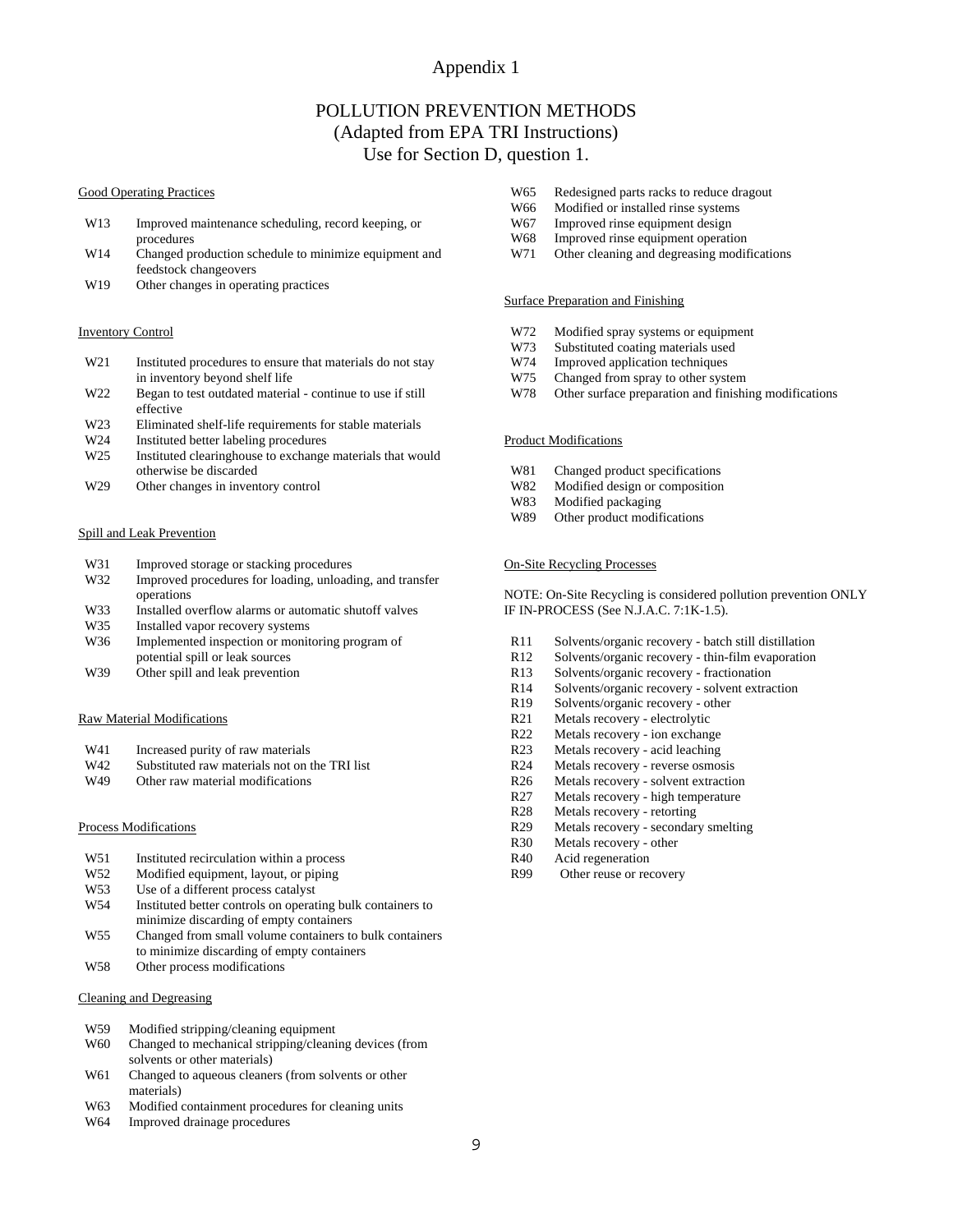#### Appendix 1

#### POLLUTION PREVENTION METHODS (Adapted from EPA TRI Instructions) Use for Section D, question 1.

#### Good Operating Practices

- W13 Improved maintenance scheduling, record keeping, or procedures
- W14 Changed production schedule to minimize equipment and feedstock changeovers
- W<sub>19</sub> Other changes in operating practices

#### Inventory Control

- W21 Instituted procedures to ensure that materials do not stay in inventory beyond shelf life
- W22 Began to test outdated material continue to use if still effective
- W23 Eliminated shelf-life requirements for stable materials
- W<sub>24</sub> Instituted better labeling procedures
- W25 Instituted clearinghouse to exchange materials that would otherwise be discarded
- W<sub>29</sub> Other changes in inventory control

#### Spill and Leak Prevention

- W31 Improved storage or stacking procedures
- W32 Improved procedures for loading, unloading, and transfer operations
- W33 Installed overflow alarms or automatic shutoff valves<br>W35 Installed vapor recovery systems
- Installed vapor recovery systems
- W36 Implemented inspection or monitoring program of potential spill or leak sources
- W39 Other spill and leak prevention

#### Raw Material Modifications

- W41 Increased purity of raw materials
- W42 Substituted raw materials not on the TRI list<br>W49 Other raw material modifications
- Other raw material modifications

#### Process Modifications

- W51 Instituted recirculation within a process
- W52 Modified equipment, layout, or piping<br>W53 Use of a different process catalyst
- Use of a different process catalyst
- W54 Instituted better controls on operating bulk containers to minimize discarding of empty containers
- W55 Changed from small volume containers to bulk containers to minimize discarding of empty containers
- W58 Other process modifications

#### Cleaning and Degreasing

- W59 Modified stripping/cleaning equipment
- W60 Changed to mechanical stripping/cleaning devices (from solvents or other materials)
- W61 Changed to aqueous cleaners (from solvents or other materials)
- W63 Modified containment procedures for cleaning units
- W64 Improved drainage procedures
- W65 Redesigned parts racks to reduce dragout
- W66 Modified or installed rinse systems<br>W67 Improved rinse equipment design
- Improved rinse equipment design
- W68 Improved rinse equipment operation
- W71 Other cleaning and degreasing modifications

#### Surface Preparation and Finishing

- W72 Modified spray systems or equipment
- W73 Substituted coating materials used
- W74 Improved application techniques
- W75 Changed from spray to other system
- W78 Other surface preparation and finishing modifications

#### Product Modifications

- W81 Changed product specifications
- W82 Modified design or composition
- W83 Modified packaging
- W89 Other product modifications

#### On-Site Recycling Processes

NOTE: On-Site Recycling is considered pollution prevention ONLY IF IN-PROCESS (See N.J.A.C. 7:1K-1.5).

- R11 Solvents/organic recovery batch still distillation
- R12 Solvents/organic recovery thin-film evaporation
- R13 Solvents/organic recovery fractionation<br>R14 Solvents/organic recovery solvent extra
- Solvents/organic recovery solvent extraction
- R19 Solvents/organic recovery other
- R21 Metals recovery electrolytic
- R22 Metals recovery ion exchange
- R23 Metals recovery acid leaching
- R24 Metals recovery reverse osmosis
- R26 Metals recovery solvent extraction
- R27 Metals recovery high temperature
- R28 Metals recovery retorting
- R29 Metals recovery secondary smelting
- R30 Metals recovery other
- R40 Acid regeneration
- R99 Other reuse or recovery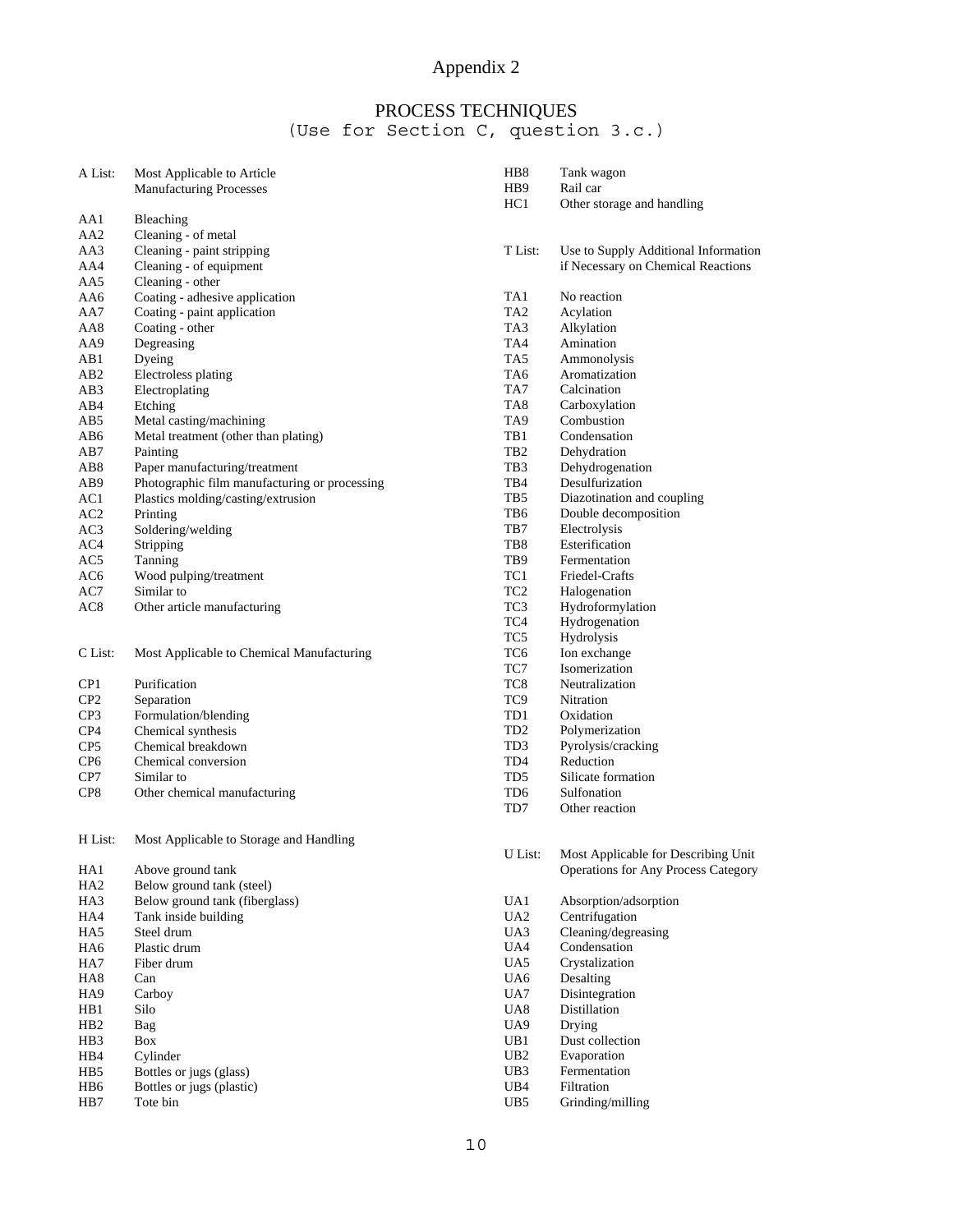# Appendix 2

# PROCESS TECHNIQUES

#### (Use for Section C, question 3.c.)

| A List:         | Most Applicable to Article                    | HB <sub>8</sub> | Tank wagon                                 |
|-----------------|-----------------------------------------------|-----------------|--------------------------------------------|
|                 | <b>Manufacturing Processes</b>                | HB <sub>9</sub> | Rail car                                   |
|                 |                                               | HC1             | Other storage and handling                 |
| AA1             | Bleaching                                     |                 |                                            |
| AA2             | Cleaning - of metal                           |                 |                                            |
| AA3             | Cleaning - paint stripping                    | T List:         | Use to Supply Additional Information       |
| AA4             | Cleaning - of equipment                       |                 | if Necessary on Chemical Reactions         |
| AA5             | Cleaning - other                              |                 |                                            |
| AA6             | Coating - adhesive application                | TA1             | No reaction                                |
| AA7             | Coating - paint application                   | TA <sub>2</sub> | Acylation                                  |
| AA8             | Coating - other                               | TA3             | Alkylation                                 |
| AA9             | Degreasing                                    | TA4             | Amination                                  |
| AB1             | Dyeing                                        | TA5             | Ammonolysis                                |
| AB2             | Electroless plating                           | TA6             | Aromatization                              |
| AB3             | Electroplating                                | TA7             | Calcination                                |
| AB4             | Etching                                       | TA <sub>8</sub> | Carboxylation                              |
| AB5             | Metal casting/machining                       | TA9             | Combustion                                 |
| AB6             | Metal treatment (other than plating)          | TB1             | Condensation                               |
| AB7             | Painting                                      | TB <sub>2</sub> | Dehydration                                |
| AB8             | Paper manufacturing/treatment                 | TB <sub>3</sub> | Dehydrogenation                            |
| AB9             | Photographic film manufacturing or processing | TB4             | Desulfurization                            |
| AC1             | Plastics molding/casting/extrusion            | TB <sub>5</sub> | Diazotination and coupling                 |
| AC2             | Printing                                      | TB6             | Double decomposition                       |
| AC3             | Soldering/welding                             | TB7             | Electrolysis                               |
| AC4             | Stripping                                     | TB8             | Esterification                             |
| AC5             | Tanning                                       | TB9             | Fermentation                               |
|                 |                                               | TC1             | Friedel-Crafts                             |
| AC6<br>AC7      | Wood pulping/treatment<br>Similar to          | TC <sub>2</sub> |                                            |
|                 |                                               |                 | Halogenation                               |
| AC8             | Other article manufacturing                   | TC <sub>3</sub> | Hydroformylation                           |
|                 |                                               | TC4             | Hydrogenation                              |
|                 |                                               | TC <sub>5</sub> | Hydrolysis                                 |
| C List:         | Most Applicable to Chemical Manufacturing     | TC <sub>6</sub> | Ion exchange                               |
|                 |                                               | TC7             | Isomerization                              |
| CP1             | Purification                                  | TC <sub>8</sub> | Neutralization                             |
| CP <sub>2</sub> | Separation                                    | TC <sub>9</sub> | Nitration                                  |
| CP3             | Formulation/blending                          | TD1             | Oxidation                                  |
| CP4             | Chemical synthesis                            | TD <sub>2</sub> | Polymerization                             |
| CP <sub>5</sub> | Chemical breakdown                            | TD <sub>3</sub> | Pyrolysis/cracking                         |
| CP <sub>6</sub> | Chemical conversion                           | TD4             | Reduction                                  |
| CP7             | Similar to                                    | TD5             | Silicate formation                         |
| CP8             | Other chemical manufacturing                  | TD <sub>6</sub> | Sulfonation                                |
|                 |                                               | TD7             | Other reaction                             |
|                 |                                               |                 |                                            |
| H List:         | Most Applicable to Storage and Handling       |                 |                                            |
|                 |                                               | U List:         | Most Applicable for Describing Unit        |
| HA1             | Above ground tank                             |                 | <b>Operations for Any Process Category</b> |
| HA <sub>2</sub> | Below ground tank (steel)                     |                 |                                            |
| HA3             | Below ground tank (fiberglass)                | UA1             | Absorption/adsorption                      |
| HA4             | Tank inside building                          | UA <sub>2</sub> | Centrifugation                             |
| HA5             | Steel drum                                    | UA3             | Cleaning/degreasing                        |
| HA6             | Plastic drum                                  | UA4             | Condensation                               |
| HA7             | Fiber drum                                    | UA5             | Crystalization                             |
| HA <sub>8</sub> | Can                                           | UA6             | Desalting                                  |
| HA9             | Carboy                                        | UA7             | Disintegration                             |
| HB1             | Silo                                          | UA <sub>8</sub> | Distillation                               |
| HB2             | Bag                                           | UA9             | Drying                                     |
| HB3             | Box                                           | UB1             | Dust collection                            |
| HB4             | Cylinder                                      | UB2             | Evaporation                                |
| HB5             | Bottles or jugs (glass)                       | UB <sub>3</sub> | Fermentation                               |
| HB6             | Bottles or jugs (plastic)                     | UB4             | Filtration                                 |
| HB7             | Tote bin                                      | UB5             | Grinding/milling                           |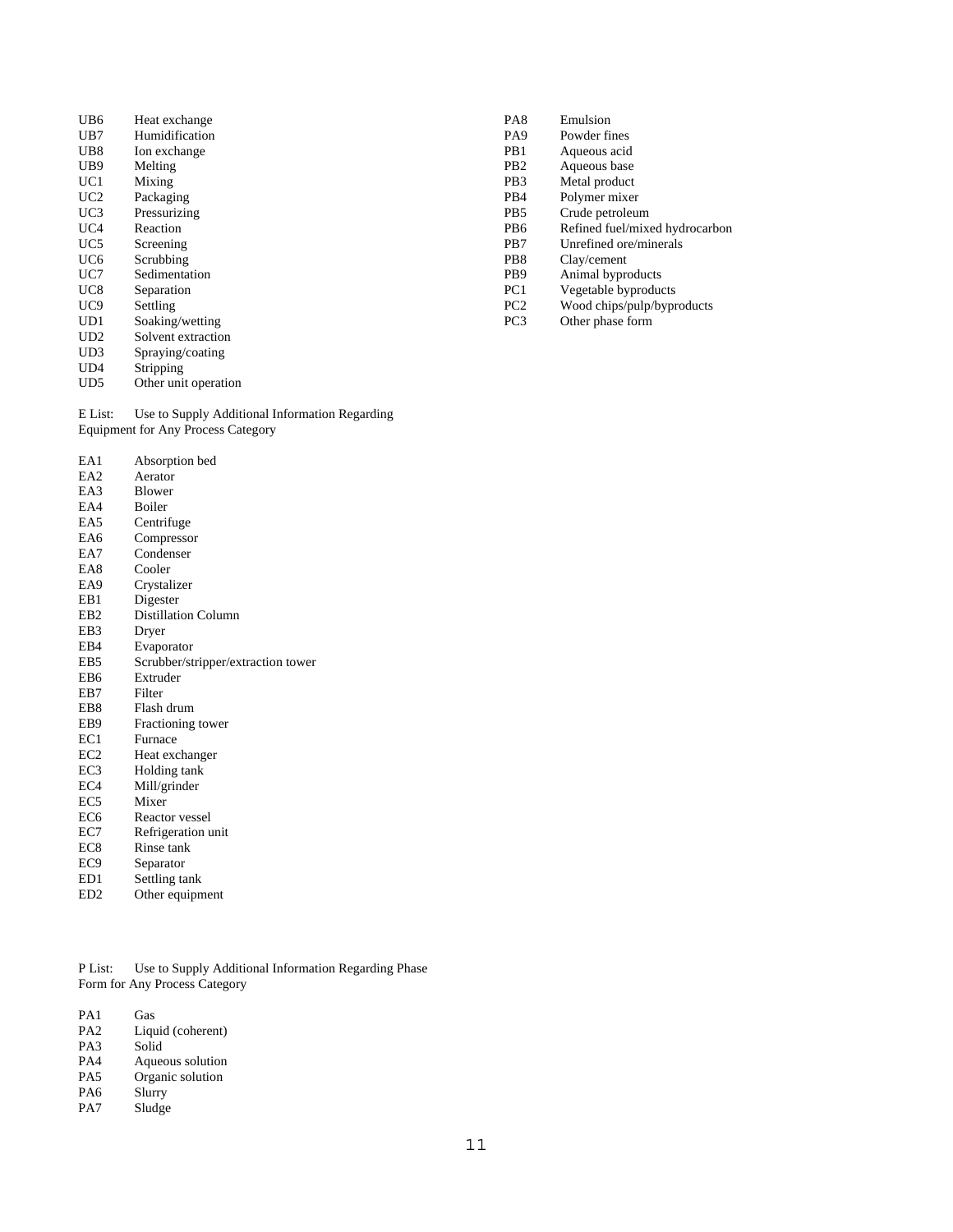- UB6 Heat exchange UB7 Humidification
- 
- UB8 Ion exchange<br>UB9 Melting
- UB9 Melting<br>UC1 Mixing Mixing
- 
- UC2 Packaging<br>UC3 Pressurizin UC3 Pressurizing<br>UC4 Reaction
- UC4 Reaction<br>UC5 Screening
- Screening
- UC6 Scrubbing
- UC7 Sedimentation
- UC8 Separation
- UC9 Settling<br>
UD1 Soaking
- Soaking/wetting UD2 Solvent extraction
- 
- UD3 Spraying/coating<br>UD4 Stripping
- UD4 Stripping<br>UD5 Other uni Other unit operation

E List: Use to Supply Additional Information Regarding Equipment for Any Process Category

| EA1             | Absorption bed                     |
|-----------------|------------------------------------|
| EA2             | Aerator                            |
| EA3             | <b>Blower</b>                      |
| EA4             | Boiler                             |
| EA5             | Centrifuge                         |
| EA6             | Compressor                         |
| EA7             | Condenser                          |
| EA8             | Cooler                             |
| EA9             | Crystalizer                        |
| EB1             | Digester                           |
| EB2             | <b>Distillation Column</b>         |
| EB3             | Dryer                              |
| EB4             | Evaporator                         |
| EB5             | Scrubber/stripper/extraction tower |
| EB6             | Extruder                           |
| EB7             | Filter                             |
| EB8             | Flash drum                         |
| EB9             | Fractioning tower                  |
| EC1             | Furnace                            |
| EC <sub>2</sub> | Heat exchanger                     |
| EC3             | Holding tank                       |
| EC4             | Mill/grinder                       |
| EC5             | Mixer                              |
| EC6             | Reactor vessel                     |
| EC7             | Refrigeration unit                 |
| EC8             | Rinse tank                         |
| EC <sub>9</sub> | Separator                          |

- ED1 Settling tank
- ED2 Other equipment

P List: Use to Supply Additional Information Regarding Phase Form for Any Process Category

| PA <sub>1</sub> | Gas               |
|-----------------|-------------------|
| PA <sub>2</sub> | Liquid (coherent) |
| PA3             | Solid             |
| PA4             | Aqueous solution  |
| PA5             | Organic solution  |
| PA <sub>6</sub> | Slurry            |
| PA7             | Sludge            |
|                 |                   |

- PA8 Emulsion
- PA9 Powder fines<br>PB1 Aqueous acid
- PB1 Aqueous acid<br>PB2 Aqueous base
- PB2 Aqueous base<br>PB3 Metal product
- Metal product
- PB4 Polymer mixer<br>PB5 Crude petroleur
- PB5 Crude petroleum<br>PB6 Refined fuel/mix
- PB6 Refined fuel/mixed hydrocarbon<br>PB7 Unrefined ore/minerals
- Unrefined ore/minerals
- PB8 Clay/cement<br>PB9 Animal bypro
- PB9 Animal byproducts<br>PC1 Vegetable byproduc
- Vegetable byproducts
- PC2 Wood chips/pulp/byproducts<br>PC3 Other phase form
- Other phase form